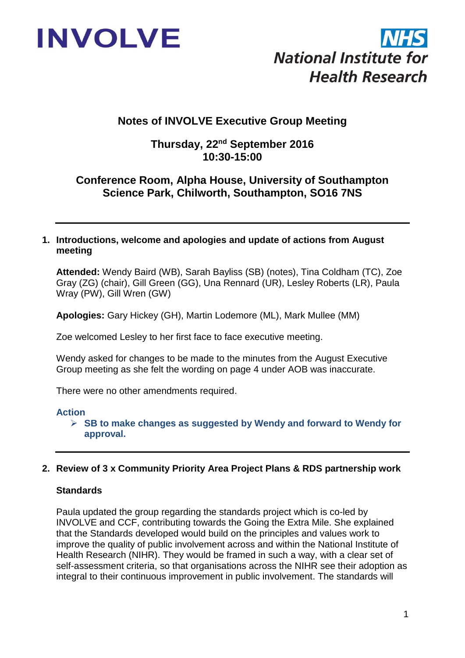



# **Notes of INVOLVE Executive Group Meeting**

# **Thursday, 22nd September 2016 10:30-15:00**

# **Conference Room, Alpha House, University of Southampton Science Park, Chilworth, Southampton, SO16 7NS**

#### **1. Introductions, welcome and apologies and update of actions from August meeting**

**Attended:** Wendy Baird (WB), Sarah Bayliss (SB) (notes), Tina Coldham (TC), Zoe Gray (ZG) (chair), Gill Green (GG), Una Rennard (UR), Lesley Roberts (LR), Paula Wray (PW), Gill Wren (GW)

**Apologies:** Gary Hickey (GH), Martin Lodemore (ML), Mark Mullee (MM)

Zoe welcomed Lesley to her first face to face executive meeting.

Wendy asked for changes to be made to the minutes from the August Executive Group meeting as she felt the wording on page 4 under AOB was inaccurate.

There were no other amendments required.

#### **Action**

 **SB to make changes as suggested by Wendy and forward to Wendy for approval.**

### **2. Review of 3 x Community Priority Area Project Plans & RDS partnership work**

### **Standards**

Paula updated the group regarding the standards project which is co-led by INVOLVE and CCF, contributing towards the Going the Extra Mile. She explained that the Standards developed would build on the principles and values work to improve the quality of public involvement across and within the National Institute of Health Research (NIHR). They would be framed in such a way, with a clear set of self-assessment criteria, so that organisations across the NIHR see their adoption as integral to their continuous improvement in public involvement. The standards will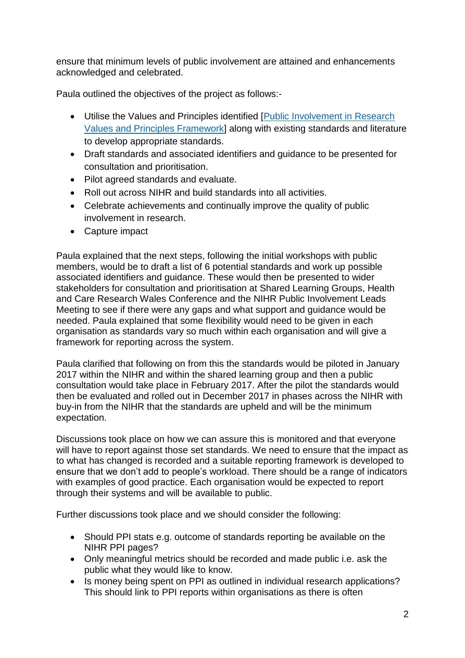ensure that minimum levels of public involvement are attained and enhancements acknowledged and celebrated.

Paula outlined the objectives of the project as follows:-

- Utilise the Values and Principles identified [\[Public Involvement in Research](http://www.invo.org.uk/posttypepublication/public-involvement-in-researchvalues-and-principles-framework/)  [Values and Principles Framework\]](http://www.invo.org.uk/posttypepublication/public-involvement-in-researchvalues-and-principles-framework/) along with existing standards and literature to develop appropriate standards.
- Draft standards and associated identifiers and guidance to be presented for consultation and prioritisation.
- Pilot agreed standards and evaluate.
- Roll out across NIHR and build standards into all activities.
- Celebrate achievements and continually improve the quality of public involvement in research.
- Capture impact

Paula explained that the next steps, following the initial workshops with public members, would be to draft a list of 6 potential standards and work up possible associated identifiers and guidance. These would then be presented to wider stakeholders for consultation and prioritisation at Shared Learning Groups, Health and Care Research Wales Conference and the NIHR Public Involvement Leads Meeting to see if there were any gaps and what support and guidance would be needed. Paula explained that some flexibility would need to be given in each organisation as standards vary so much within each organisation and will give a framework for reporting across the system.

Paula clarified that following on from this the standards would be piloted in January 2017 within the NIHR and within the shared learning group and then a public consultation would take place in February 2017. After the pilot the standards would then be evaluated and rolled out in December 2017 in phases across the NIHR with buy-in from the NIHR that the standards are upheld and will be the minimum expectation.

Discussions took place on how we can assure this is monitored and that everyone will have to report against those set standards. We need to ensure that the impact as to what has changed is recorded and a suitable reporting framework is developed to ensure that we don't add to people's workload. There should be a range of indicators with examples of good practice. Each organisation would be expected to report through their systems and will be available to public.

Further discussions took place and we should consider the following:

- Should PPI stats e.g. outcome of standards reporting be available on the NIHR PPI pages?
- Only meaningful metrics should be recorded and made public i.e. ask the public what they would like to know.
- Is money being spent on PPI as outlined in individual research applications? This should link to PPI reports within organisations as there is often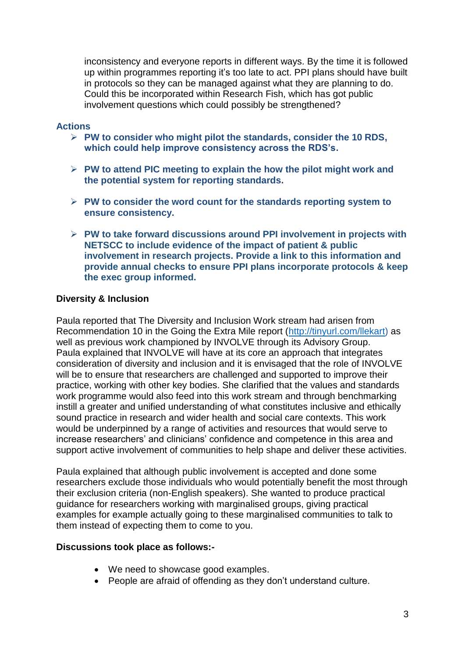inconsistency and everyone reports in different ways. By the time it is followed up within programmes reporting it's too late to act. PPI plans should have built in protocols so they can be managed against what they are planning to do. Could this be incorporated within Research Fish, which has got public involvement questions which could possibly be strengthened?

#### **Actions**

- **PW to consider who might pilot the standards, consider the 10 RDS, which could help improve consistency across the RDS's.**
- **PW to attend PIC meeting to explain the how the pilot might work and the potential system for reporting standards.**
- **PW to consider the word count for the standards reporting system to ensure consistency.**
- **PW to take forward discussions around PPI involvement in projects with NETSCC to include evidence of the impact of patient & public involvement in research projects. Provide a link to this information and provide annual checks to ensure PPI plans incorporate protocols & keep the exec group informed.**

#### **Diversity & Inclusion**

Paula reported that The Diversity and Inclusion Work stream had arisen from Recommendation 10 in the Going the Extra Mile report [\(http://tinyurl.com/llekart\)](http://tinyurl.com/llekart) as well as previous work championed by INVOLVE through its Advisory Group. Paula explained that INVOLVE will have at its core an approach that integrates consideration of diversity and inclusion and it is envisaged that the role of INVOLVE will be to ensure that researchers are challenged and supported to improve their practice, working with other key bodies. She clarified that the values and standards work programme would also feed into this work stream and through benchmarking instill a greater and unified understanding of what constitutes inclusive and ethically sound practice in research and wider health and social care contexts. This work would be underpinned by a range of activities and resources that would serve to increase researchers' and clinicians' confidence and competence in this area and support active involvement of communities to help shape and deliver these activities.

Paula explained that although public involvement is accepted and done some researchers exclude those individuals who would potentially benefit the most through their exclusion criteria (non-English speakers). She wanted to produce practical guidance for researchers working with marginalised groups, giving practical examples for example actually going to these marginalised communities to talk to them instead of expecting them to come to you.

#### **Discussions took place as follows:-**

- We need to showcase good examples.
- People are afraid of offending as they don't understand culture.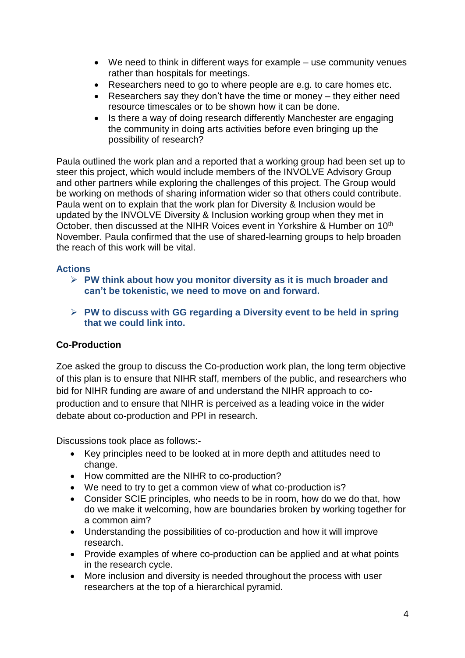- We need to think in different ways for example use community venues rather than hospitals for meetings.
- Researchers need to go to where people are e.g. to care homes etc.
- Researchers say they don't have the time or money they either need resource timescales or to be shown how it can be done.
- Is there a way of doing research differently Manchester are engaging the community in doing arts activities before even bringing up the possibility of research?

Paula outlined the work plan and a reported that a working group had been set up to steer this project, which would include members of the INVOLVE Advisory Group and other partners while exploring the challenges of this project. The Group would be working on methods of sharing information wider so that others could contribute. Paula went on to explain that the work plan for Diversity & Inclusion would be updated by the INVOLVE Diversity & Inclusion working group when they met in October, then discussed at the NIHR Voices event in Yorkshire & Humber on 10<sup>th</sup> November. Paula confirmed that the use of shared-learning groups to help broaden the reach of this work will be vital.

## **Actions**

- **PW think about how you monitor diversity as it is much broader and can't be tokenistic, we need to move on and forward.**
- **PW to discuss with GG regarding a Diversity event to be held in spring that we could link into.**

## **Co-Production**

Zoe asked the group to discuss the Co-production work plan, the long term objective of this plan is to ensure that NIHR staff, members of the public, and researchers who bid for NIHR funding are aware of and understand the NIHR approach to coproduction and to ensure that NIHR is perceived as a leading voice in the wider debate about co-production and PPI in research.

Discussions took place as follows:-

- Key principles need to be looked at in more depth and attitudes need to change.
- How committed are the NIHR to co-production?
- We need to try to get a common view of what co-production is?
- Consider SCIE principles, who needs to be in room, how do we do that, how do we make it welcoming, how are boundaries broken by working together for a common aim?
- Understanding the possibilities of co-production and how it will improve research.
- Provide examples of where co-production can be applied and at what points in the research cycle.
- More inclusion and diversity is needed throughout the process with user researchers at the top of a hierarchical pyramid.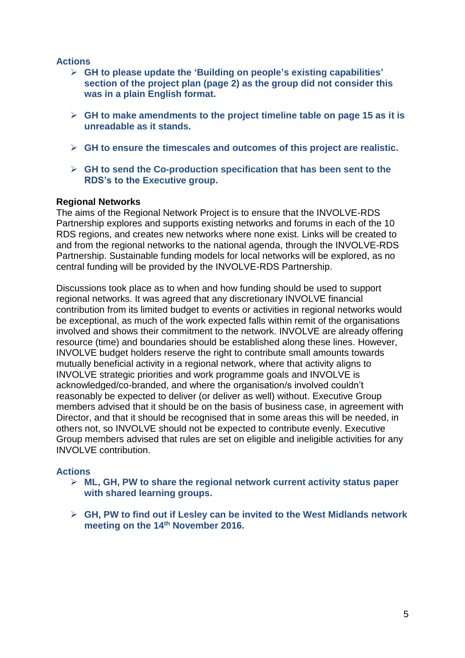### **Actions**

- **GH to please update the 'Building on people's existing capabilities' section of the project plan (page 2) as the group did not consider this was in a plain English format.**
- **GH to make amendments to the project timeline table on page 15 as it is unreadable as it stands.**
- **GH to ensure the timescales and outcomes of this project are realistic.**
- **GH to send the Co-production specification that has been sent to the RDS's to the Executive group.**

### **Regional Networks**

The aims of the Regional Network Project is to ensure that the INVOLVE-RDS Partnership explores and supports existing networks and forums in each of the 10 RDS regions, and creates new networks where none exist. Links will be created to and from the regional networks to the national agenda, through the INVOLVE-RDS Partnership. Sustainable funding models for local networks will be explored, as no central funding will be provided by the INVOLVE-RDS Partnership.

Discussions took place as to when and how funding should be used to support regional networks. It was agreed that any discretionary INVOLVE financial contribution from its limited budget to events or activities in regional networks would be exceptional, as much of the work expected falls within remit of the organisations involved and shows their commitment to the network. INVOLVE are already offering resource (time) and boundaries should be established along these lines. However, INVOLVE budget holders reserve the right to contribute small amounts towards mutually beneficial activity in a regional network, where that activity aligns to INVOLVE strategic priorities and work programme goals and INVOLVE is acknowledged/co-branded, and where the organisation/s involved couldn't reasonably be expected to deliver (or deliver as well) without. Executive Group members advised that it should be on the basis of business case, in agreement with Director, and that it should be recognised that in some areas this will be needed, in others not, so INVOLVE should not be expected to contribute evenly. Executive Group members advised that rules are set on eligible and ineligible activities for any INVOLVE contribution.

### **Actions**

- **ML, GH, PW to share the regional network current activity status paper with shared learning groups.**
- **GH, PW to find out if Lesley can be invited to the West Midlands network meeting on the 14th November 2016.**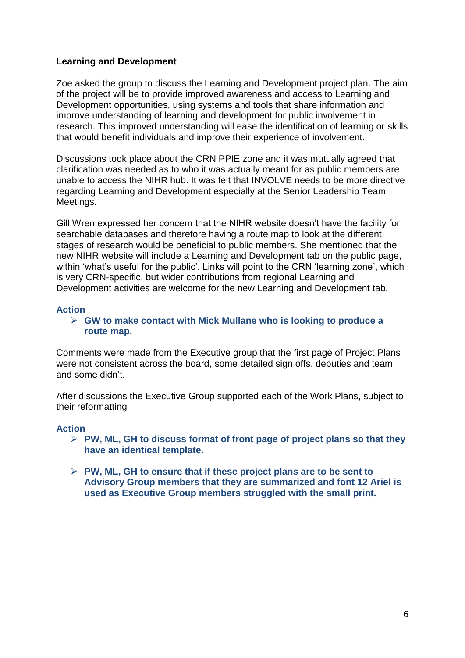## **Learning and Development**

Zoe asked the group to discuss the Learning and Development project plan. The aim of the project will be to provide improved awareness and access to Learning and Development opportunities, using systems and tools that share information and improve understanding of learning and development for public involvement in research. This improved understanding will ease the identification of learning or skills that would benefit individuals and improve their experience of involvement.

Discussions took place about the CRN PPIE zone and it was mutually agreed that clarification was needed as to who it was actually meant for as public members are unable to access the NIHR hub. It was felt that INVOLVE needs to be more directive regarding Learning and Development especially at the Senior Leadership Team Meetings.

Gill Wren expressed her concern that the NIHR website doesn't have the facility for searchable databases and therefore having a route map to look at the different stages of research would be beneficial to public members. She mentioned that the new NIHR website will include a Learning and Development tab on the public page, within 'what's useful for the public'. Links will point to the CRN 'learning zone', which is very CRN-specific, but wider contributions from regional Learning and Development activities are welcome for the new Learning and Development tab.

#### **Action**

 **GW to make contact with Mick Mullane who is looking to produce a route map.**

Comments were made from the Executive group that the first page of Project Plans were not consistent across the board, some detailed sign offs, deputies and team and some didn't.

After discussions the Executive Group supported each of the Work Plans, subject to their reformatting

#### **Action**

- **PW, ML, GH to discuss format of front page of project plans so that they have an identical template.**
- **PW, ML, GH to ensure that if these project plans are to be sent to Advisory Group members that they are summarized and font 12 Ariel is used as Executive Group members struggled with the small print.**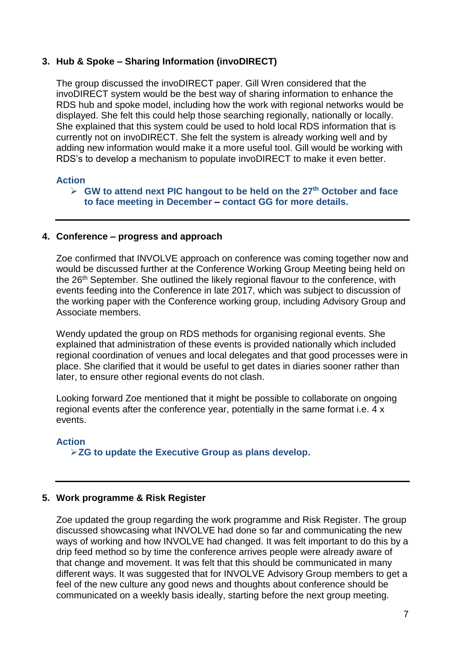### **3. Hub & Spoke – Sharing Information (invoDIRECT)**

The group discussed the invoDIRECT paper. Gill Wren considered that the invoDIRECT system would be the best way of sharing information to enhance the RDS hub and spoke model, including how the work with regional networks would be displayed. She felt this could help those searching regionally, nationally or locally. She explained that this system could be used to hold local RDS information that is currently not on invoDIRECT. She felt the system is already working well and by adding new information would make it a more useful tool. Gill would be working with RDS's to develop a mechanism to populate invoDIRECT to make it even better.

#### **Action**

### **GW to attend next PIC hangout to be held on the 27th October and face to face meeting in December – contact GG for more details.**

#### **4. Conference – progress and approach**

Zoe confirmed that INVOLVE approach on conference was coming together now and would be discussed further at the Conference Working Group Meeting being held on the 26<sup>th</sup> September. She outlined the likely regional flavour to the conference, with events feeding into the Conference in late 2017, which was subject to discussion of the working paper with the Conference working group, including Advisory Group and Associate members.

Wendy updated the group on RDS methods for organising regional events. She explained that administration of these events is provided nationally which included regional coordination of venues and local delegates and that good processes were in place. She clarified that it would be useful to get dates in diaries sooner rather than later, to ensure other regional events do not clash.

Looking forward Zoe mentioned that it might be possible to collaborate on ongoing regional events after the conference year, potentially in the same format i.e. 4 x events.

#### **Action**

**ZG to update the Executive Group as plans develop.**

### **5. Work programme & Risk Register**

Zoe updated the group regarding the work programme and Risk Register. The group discussed showcasing what INVOLVE had done so far and communicating the new ways of working and how INVOLVE had changed. It was felt important to do this by a drip feed method so by time the conference arrives people were already aware of that change and movement. It was felt that this should be communicated in many different ways. It was suggested that for INVOLVE Advisory Group members to get a feel of the new culture any good news and thoughts about conference should be communicated on a weekly basis ideally, starting before the next group meeting.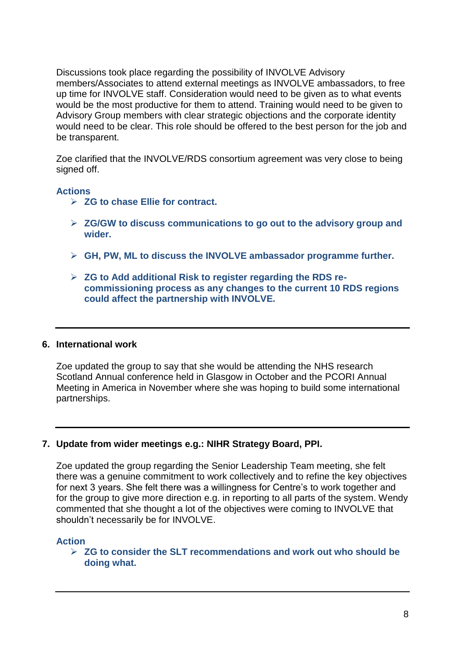Discussions took place regarding the possibility of INVOLVE Advisory members/Associates to attend external meetings as INVOLVE ambassadors, to free up time for INVOLVE staff. Consideration would need to be given as to what events would be the most productive for them to attend. Training would need to be given to Advisory Group members with clear strategic objections and the corporate identity would need to be clear. This role should be offered to the best person for the job and be transparent.

Zoe clarified that the INVOLVE/RDS consortium agreement was very close to being signed off.

#### **Actions**

- **ZG to chase Ellie for contract.**
- **ZG/GW to discuss communications to go out to the advisory group and wider.**
- **GH, PW, ML to discuss the INVOLVE ambassador programme further.**
- **ZG to Add additional Risk to register regarding the RDS recommissioning process as any changes to the current 10 RDS regions could affect the partnership with INVOLVE.**

#### **6. International work**

Zoe updated the group to say that she would be attending the NHS research Scotland Annual conference held in Glasgow in October and the PCORI Annual Meeting in America in November where she was hoping to build some international partnerships.

### **7. Update from wider meetings e.g.: NIHR Strategy Board, PPI.**

Zoe updated the group regarding the Senior Leadership Team meeting, she felt there was a genuine commitment to work collectively and to refine the key objectives for next 3 years. She felt there was a willingness for Centre's to work together and for the group to give more direction e.g. in reporting to all parts of the system. Wendy commented that she thought a lot of the objectives were coming to INVOLVE that shouldn't necessarily be for INVOLVE.

#### **Action**

 **ZG to consider the SLT recommendations and work out who should be doing what.**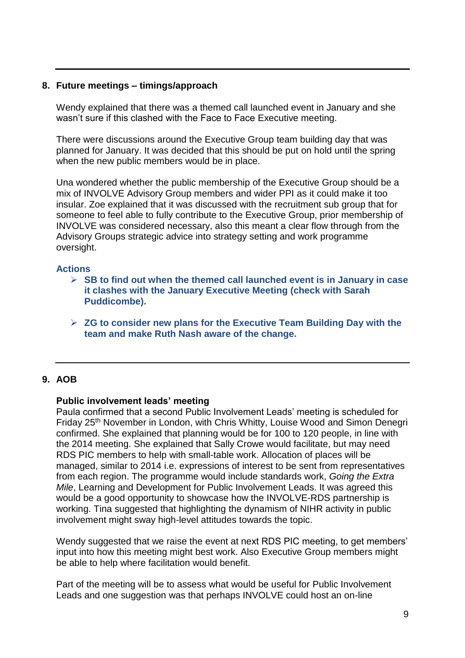#### **8. Future meetings – timings/approach**

Wendy explained that there was a themed call launched event in January and she wasn't sure if this clashed with the Face to Face Executive meeting.

There were discussions around the Executive Group team building day that was planned for January. It was decided that this should be put on hold until the spring when the new public members would be in place.

Una wondered whether the public membership of the Executive Group should be a mix of INVOLVE Advisory Group members and wider PPI as it could make it too insular. Zoe explained that it was discussed with the recruitment sub group that for someone to feel able to fully contribute to the Executive Group, prior membership of INVOLVE was considered necessary, also this meant a clear flow through from the Advisory Groups strategic advice into strategy setting and work programme oversight.

#### **Actions**

- **SB to find out when the themed call launched event is in January in case it clashes with the January Executive Meeting (check with Sarah Puddicombe).**
- **ZG to consider new plans for the Executive Team Building Day with the team and make Ruth Nash aware of the change.**

### **9. AOB**

#### **Public involvement leads' meeting**

Paula confirmed that a second Public Involvement Leads' meeting is scheduled for Friday 25th November in London, with Chris Whitty, Louise Wood and Simon Denegri confirmed. She explained that planning would be for 100 to 120 people, in line with the 2014 meeting. She explained that Sally Crowe would facilitate, but may need RDS PIC members to help with small-table work. Allocation of places will be managed, similar to 2014 i.e. expressions of interest to be sent from representatives from each region. The programme would include standards work, *Going the Extra Mile*, Learning and Development for Public Involvement Leads. It was agreed this would be a good opportunity to showcase how the INVOLVE-RDS partnership is working. Tina suggested that highlighting the dynamism of NIHR activity in public involvement might sway high-level attitudes towards the topic.

Wendy suggested that we raise the event at next RDS PIC meeting, to get members' input into how this meeting might best work. Also Executive Group members might be able to help where facilitation would benefit.

Part of the meeting will be to assess what would be useful for Public Involvement Leads and one suggestion was that perhaps INVOLVE could host an on-line